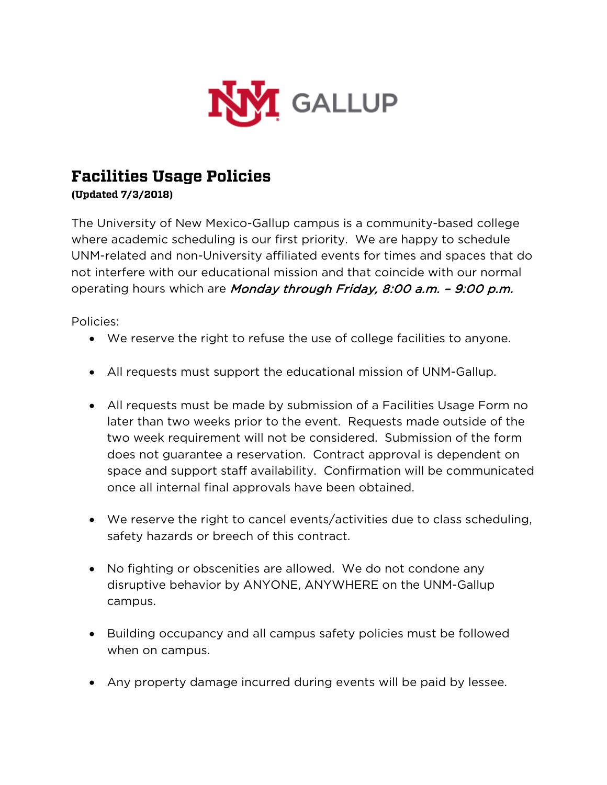

## **Facilities Usage Policies**

**(Updated 7/3/2018)**

The University of New Mexico-Gallup campus is a community-based college where academic scheduling is our first priority. We are happy to schedule UNM-related and non-University affiliated events for times and spaces that do not interfere with our educational mission and that coincide with our normal operating hours which are Monday through Friday, 8:00 a.m. - 9:00 p.m.

Policies:

- We reserve the right to refuse the use of college facilities to anyone.
- All requests must support the educational mission of UNM-Gallup.
- All requests must be made by submission of a Facilities Usage Form no later than two weeks prior to the event. Requests made outside of the two week requirement will not be considered. Submission of the form does not guarantee a reservation. Contract approval is dependent on space and support staff availability. Confirmation will be communicated once all internal final approvals have been obtained.
- We reserve the right to cancel events/activities due to class scheduling, safety hazards or breech of this contract.
- No fighting or obscenities are allowed. We do not condone any disruptive behavior by ANYONE, ANYWHERE on the UNM-Gallup campus.
- Building occupancy and all campus safety policies must be followed when on campus.
- Any property damage incurred during events will be paid by lessee.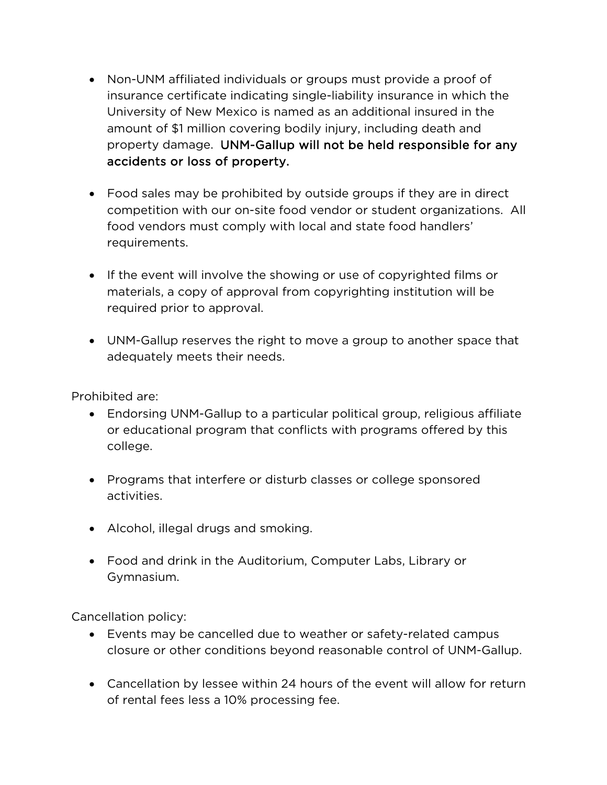- Non-UNM affiliated individuals or groups must provide a proof of insurance certificate indicating single-liability insurance in which the University of New Mexico is named as an additional insured in the amount of \$1 million covering bodily injury, including death and property damage. UNM-Gallup will not be held responsible for any accidents or loss of property.
- Food sales may be prohibited by outside groups if they are in direct competition with our on-site food vendor or student organizations. All food vendors must comply with local and state food handlers' requirements.
- If the event will involve the showing or use of copyrighted films or materials, a copy of approval from copyrighting institution will be required prior to approval.
- UNM-Gallup reserves the right to move a group to another space that adequately meets their needs.

Prohibited are:

- Endorsing UNM-Gallup to a particular political group, religious affiliate or educational program that conflicts with programs offered by this college.
- Programs that interfere or disturb classes or college sponsored activities.
- Alcohol, illegal drugs and smoking.
- Food and drink in the Auditorium, Computer Labs, Library or Gymnasium.

Cancellation policy:

- Events may be cancelled due to weather or safety-related campus closure or other conditions beyond reasonable control of UNM-Gallup.
- Cancellation by lessee within 24 hours of the event will allow for return of rental fees less a 10% processing fee.